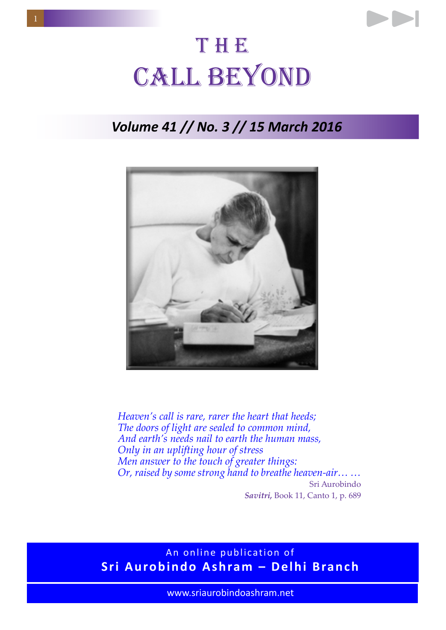# THE CALL BEYOND

# *Volume 41 // No. 3 // 15 March 2016*



*Heaven's call is rare, rarer the heart that heeds; The doors of light are sealed to common mind, And earth's needs nail to earth the human mass, Only in an uplifting hour of stress Men answer to the touch of greater things: Or, raised by some strong hand to breathe heaven-air… …* Sri Aurobindo *Savitri,* Book 11, Canto 1, p. 689

An online publication of **Sri Aurobindo Ashram – Delhi Branch**

[www.sriaurobindoashram.net](http://sriaurobindoashram.net/)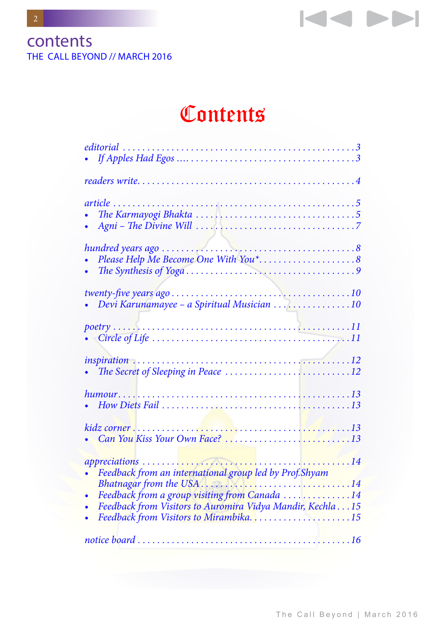# **KKA DDI**

## contents THE CALL BEYOND // MARCH 2016

# Contents

| Agni – The Divine Will $\ldots \ldots \ldots \ldots \ldots \ldots \ldots \ldots \ldots \ldots \ldots$                                                                                                            |
|------------------------------------------------------------------------------------------------------------------------------------------------------------------------------------------------------------------|
|                                                                                                                                                                                                                  |
| Devi Karunamayee - a Spiritual Musician 10                                                                                                                                                                       |
|                                                                                                                                                                                                                  |
|                                                                                                                                                                                                                  |
|                                                                                                                                                                                                                  |
|                                                                                                                                                                                                                  |
| • Feedback from an international group led by Prof. Shyam<br>Feedback from a group visiting from Canada 14<br>Feedback from Visitors to Auromira Vidya Mandir, Kechla15<br>Feedback from Visitors to Mirambika15 |
|                                                                                                                                                                                                                  |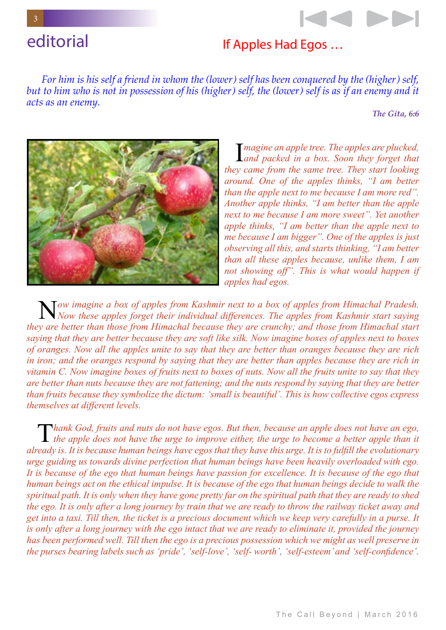# <span id="page-2-0"></span>editorial

## If Apples Had Egos …

*For him is his self a friend in whom the (lower) self has been conquered by the (higher) self, but to him who is not in possession of his (higher) self, the (lower) self is as if an enemy and it acts as an enemy.*

*The Gita, 6:6*

 $\blacksquare$ 



I magine an apple tree. The apples are plucked,<br>Land packed in a box. Soon they forget that *and packed in a box. Soon they forget that they came from the same tree. They start looking around. One of the apples thinks, "I am better than the apple next to me because I am more red". Another apple thinks, "I am better than the apple next to me because I am more sweet". Yet another apple thinks, "I am better than the apple next to me because I am bigger". One of the apples is just observing all this, and starts thinking, "I am better than all these apples because, unlike them, I am not showing off". This is what would happen if apples had egos.*

Tow imagine a box of apples from Kashmir next to a box of apples from Himachal Pradesh. *Now these apples forget their individual differences. The apples from Kashmir start saying they are better than those from Himachal because they are crunchy; and those from Himachal start saying that they are better because they are soft like silk. Now imagine boxes of apples next to boxes of oranges. Now all the apples unite to say that they are better than oranges because they are rich in iron; and the oranges respond by saying that they are better than apples because they are rich in vitamin C. Now imagine boxes of fruits next to boxes of nuts. Now all the fruits unite to say that they are better than nuts because they are not fattening; and the nuts respond by saying that they are better than fruits because they symbolize the dictum: 'small is beautiful'. This is how collective egos express themselves at different levels.*

Thank God, fruits and nuts do not have egos. But then, because an apple does not have an ego, the apple does not have the urge to improve either, the urge to become a better apple than it *already is. It is because human beings have egos that they have this urge. It is to fulfill the evolutionary urge guiding us towards divine perfection that human beings have been heavily overloaded with ego. It is because of the ego that human beings have passion for excellence. It is because of the ego that human beings act on the ethical impulse. It is because of the ego that human beings decide to walk the spiritual path. It is only when they have gone pretty far on the spiritual path that they are ready to shed the ego. It is only after a long journey by train that we are ready to throw the railway ticket away and get into a taxi. Till then, the ticket is a precious document which we keep very carefully in a purse. It is only after a long journey with the ego intact that we are ready to eliminate it, provided the journey has been performed well. Till then the ego is a precious possession which we might as well preserve in the purses bearing labels such as 'pride', 'self-love', 'self- worth', 'self-esteem' and 'self-confidence'.*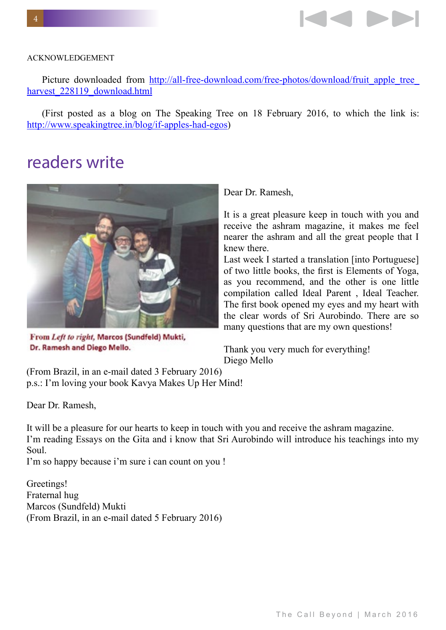#### <span id="page-3-0"></span>ACKNOWLEDGEMENT

Picture downloaded from http://all-free-download.com/free-photos/download/fruit apple tree [harvest\\_228119\\_download.html](http://all-free-download.com/free-photos/download/fruit_apple_tree_harvest_228119_download.html )

(First posted as a blog on The Speaking Tree on 18 February 2016, to which the link is: [http://www.speakingtree.in/blog/if-apples-had-egos\)](http://www.speakingtree.in/blog/if-apples-had-egos)

# readers write



From Left to right, Marcos (Sundfeld) Mukti, Dr. Ramesh and Diego Mello.

Dear Dr. Ramesh,

It is a great pleasure keep in touch with you and receive the ashram magazine, it makes me feel nearer the ashram and all the great people that I knew there.

Last week I started a translation [into Portuguese] of two little books, the first is Elements of Yoga, as you recommend, and the other is one little compilation called Ideal Parent , Ideal Teacher. The first book opened my eyes and my heart with the clear words of Sri Aurobindo. There are so many questions that are my own questions!

Thank you very much for everything! Diego Mello

(From Brazil, in an e-mail dated 3 February 2016) p.s.: I'm loving your book Kavya Makes Up Her Mind!

Dear Dr. Ramesh,

It will be a pleasure for our hearts to keep in touch with you and receive the ashram magazine. I'm reading Essays on the Gita and i know that Sri Aurobindo will introduce his teachings into my Soul.

I'm so happy because i'm sure i can count on you !

Greetings! Fraternal hug Marcos (Sundfeld) Mukti (From Brazil, in an e-mail dated 5 February 2016)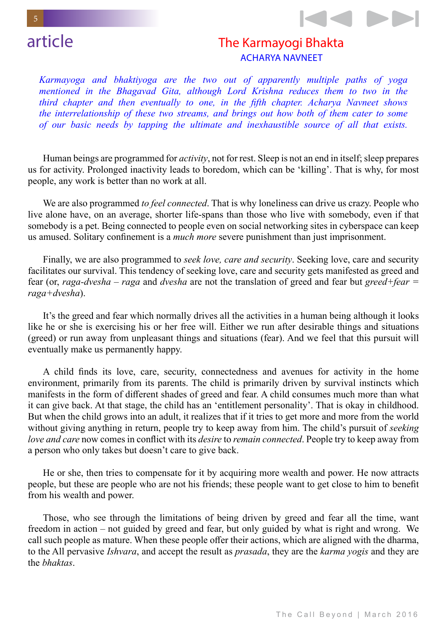

## <span id="page-4-0"></span>article The Karmayogi Bhakta ACHARYA NAVNEET

*Karmayoga and bhaktiyoga are the two out of apparently multiple paths of yoga mentioned in the Bhagavad Gita, although Lord Krishna reduces them to two in the third chapter and then eventually to one, in the fifth chapter. Acharya Navneet shows the interrelationship of these two streams, and brings out how both of them cater to some of our basic needs by tapping the ultimate and inexhaustible source of all that exists.*

Human beings are programmed for *activity*, not for rest. Sleep is not an end in itself; sleep prepares us for activity. Prolonged inactivity leads to boredom, which can be 'killing'. That is why, for most people, any work is better than no work at all.

We are also programmed *to feel connected*. That is why loneliness can drive us crazy. People who live alone have, on an average, shorter life-spans than those who live with somebody, even if that somebody is a pet. Being connected to people even on social networking sites in cyberspace can keep us amused. Solitary confinement is a *much more* severe punishment than just imprisonment.

Finally, we are also programmed to *seek love, care and security*. Seeking love, care and security facilitates our survival. This tendency of seeking love, care and security gets manifested as greed and fear (or, *raga-dvesha – raga* and *dvesha* are not the translation of greed and fear but *greed+fear = raga+dvesha*).

It's the greed and fear which normally drives all the activities in a human being although it looks like he or she is exercising his or her free will. Either we run after desirable things and situations (greed) or run away from unpleasant things and situations (fear). And we feel that this pursuit will eventually make us permanently happy.

A child finds its love, care, security, connectedness and avenues for activity in the home environment, primarily from its parents. The child is primarily driven by survival instincts which manifests in the form of different shades of greed and fear. A child consumes much more than what it can give back. At that stage, the child has an 'entitlement personality'. That is okay in childhood. But when the child grows into an adult, it realizes that if it tries to get more and more from the world without giving anything in return, people try to keep away from him. The child's pursuit of *seeking love and care* now comes in conflict with its *desire* to *remain connected*. People try to keep away from a person who only takes but doesn't care to give back.

He or she, then tries to compensate for it by acquiring more wealth and power. He now attracts people, but these are people who are not his friends; these people want to get close to him to benefit from his wealth and power.

Those, who see through the limitations of being driven by greed and fear all the time, want freedom in action – not guided by greed and fear, but only guided by what is right and wrong. We call such people as mature. When these people offer their actions, which are aligned with the dharma, to the All pervasive *Ishvara*, and accept the result as *prasada*, they are the *karma yogis* and they are the *bhaktas*.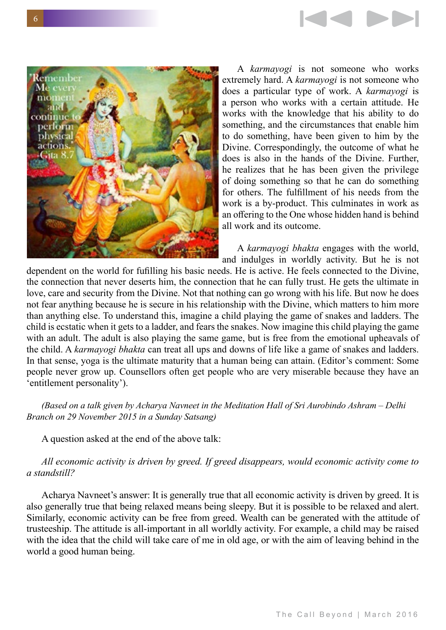



A *karmayogi* is not someone who works extremely hard. A *karmayogi* is not someone who does a particular type of work. A *karmayogi* is a person who works with a certain attitude. He works with the knowledge that his ability to do something, and the circumstances that enable him to do something, have been given to him by the Divine. Correspondingly, the outcome of what he does is also in the hands of the Divine. Further, he realizes that he has been given the privilege of doing something so that he can do something for others. The fulfillment of his needs from the work is a by-product. This culminates in work as an offering to the One whose hidden hand is behind all work and its outcome.

A *karmayogi bhakta* engages with the world, and indulges in worldly activity. But he is not

dependent on the world for fufilling his basic needs. He is active. He feels connected to the Divine, the connection that never deserts him, the connection that he can fully trust. He gets the ultimate in love, care and security from the Divine. Not that nothing can go wrong with his life. But now he does not fear anything because he is secure in his relationship with the Divine, which matters to him more than anything else. To understand this, imagine a child playing the game of snakes and ladders. The child is ecstatic when it gets to a ladder, and fears the snakes. Now imagine this child playing the game with an adult. The adult is also playing the same game, but is free from the emotional upheavals of the child. A *karmayogi bhakta* can treat all ups and downs of life like a game of snakes and ladders. In that sense, yoga is the ultimate maturity that a human being can attain. (Editor's comment: Some people never grow up. Counsellors often get people who are very miserable because they have an 'entitlement personality').

*(Based on a talk given by Acharya Navneet in the Meditation Hall of Sri Aurobindo Ashram – Delhi Branch on 29 November 2015 in a Sunday Satsang)*

A question asked at the end of the above talk:

*All economic activity is driven by greed. If greed disappears, would economic activity come to a standstill?*

Acharya Navneet's answer: It is generally true that all economic activity is driven by greed. It is also generally true that being relaxed means being sleepy. But it is possible to be relaxed and alert. Similarly, economic activity can be free from greed. Wealth can be generated with the attitude of trusteeship. The attitude is all-important in all worldly activity. For example, a child may be raised with the idea that the child will take care of me in old age, or with the aim of leaving behind in the world a good human being.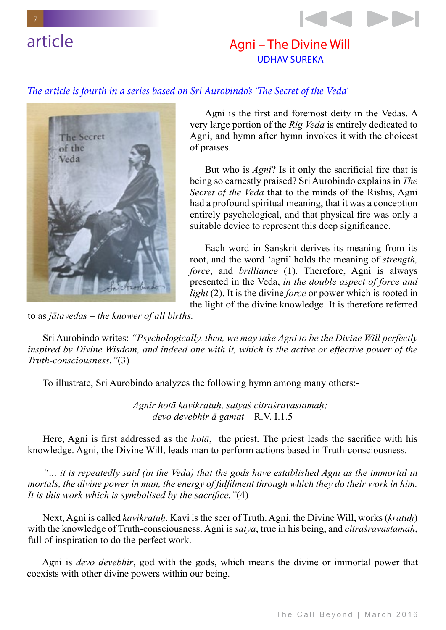# article

<span id="page-6-0"></span>7



### Agni – The Divine Will UDHAV SUREKA

#### *The article is fourth in a series based on Sri Aurobindo's 'The Secret of the Veda'*



Agni is the first and foremost deity in the Vedas. A very large portion of the *Rig Veda* is entirely dedicated to Agni, and hymn after hymn invokes it with the choicest of praises.

But who is *Agni*? Is it only the sacrificial fire that is being so earnestly praised? Sri Aurobindo explains in *The Secret of the Veda* that to the minds of the Rishis, Agni had a profound spiritual meaning, that it was a conception entirely psychological, and that physical fire was only a suitable device to represent this deep significance.

Each word in Sanskrit derives its meaning from its root, and the word 'agni' holds the meaning of *strength, force*, and *brilliance* (1). Therefore, Agni is always presented in the Veda, *in the double aspect of force and light* (2). It is the divine *force* or power which is rooted in the light of the divine knowledge. It is therefore referred

to as *jātavedas – the knower of all births.*

Sri Aurobindo writes: *"Psychologically, then, we may take Agni to be the Divine Will perfectly inspired by Divine Wisdom, and indeed one with it, which is the active or effective power of the Truth-consciousness."*(3)

To illustrate, Sri Aurobindo analyzes the following hymn among many others:-

*Agnir hotā kavikratuḥ, satyaś citraśravastamaḥ; devo devebhir ā gamat* – R.V. I.1.5

Here, Agni is first addressed as the *hotā*, the priest. The priest leads the sacrifice with his knowledge. Agni, the Divine Will, leads man to perform actions based in Truth-consciousness.

*"… it is repeatedly said (in the Veda) that the gods have established Agni as the immortal in mortals, the divine power in man, the energy of fulfilment through which they do their work in him. It is this work which is symbolised by the sacrifice."*(4)

Next, Agni is called *kavikratuḥ*. Kavi is the seer of Truth. Agni, the Divine Will, works (*kratuḥ*) with the knowledge of Truth-consciousness. Agni is *satya*, true in his being, and *citraśravastamaḥ*, full of inspiration to do the perfect work.

Agni is *devo devebhir*, god with the gods, which means the divine or immortal power that coexists with other divine powers within our being.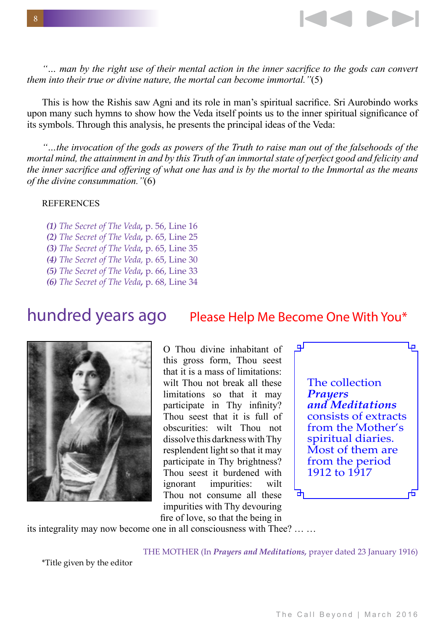

<span id="page-7-0"></span>*"… man by the right use of their mental action in the inner sacrifice to the gods can convert them into their true or divine nature, the mortal can become immortal."*(5)

This is how the Rishis saw Agni and its role in man's spiritual sacrifice. Sri Aurobindo works upon many such hymns to show how the Veda itself points us to the inner spiritual significance of its symbols. Through this analysis, he presents the principal ideas of the Veda:

*"…the invocation of the gods as powers of the Truth to raise man out of the falsehoods of the mortal mind, the attainment in and by this Truth of an immortal state of perfect good and felicity and the inner sacrifice and offering of what one has and is by the mortal to the Immortal as the means of the divine consummation."*(6)

#### **REFERENCES**

- *(1) The Secret of The Veda,* p. 56, Line 16
- *(2) The Secret of The Veda,* p. 65, Line 25
- *(3) The Secret of The Veda,* p. 65, Line 35
- *(4) The Secret of The Veda,* p. 65, Line 30
- *(5) The Secret of The Veda,* p. 66, Line 33
- *(6) The Secret of The Veda,* p. 68, Line 34

# hundred years ago Please Help Me Become One With You\*



O Thou divine inhabitant of this gross form, Thou seest that it is a mass of limitations: wilt Thou not break all these limitations so that it may participate in Thy infinity? Thou seest that it is full of obscurities: wilt Thou not dissolve this darkness with Thy resplendent light so that it may participate in Thy brightness? Thou seest it burdened with ignorant impurities: wilt Thou not consume all these impurities with Thy devouring fire of love, so that the being in



its integrality may now become one in all consciousness with Thee? … …

THE MOTHER (In *Prayers and Meditations,* prayer dated 23 January 1916)

\*Title given by the editor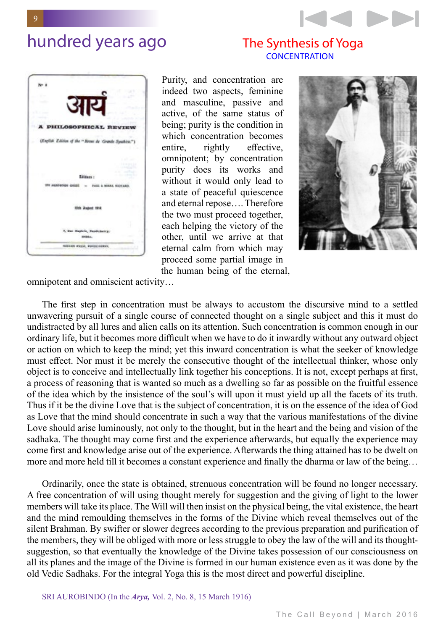

# <span id="page-8-0"></span>hundred years ago The Synthesis of Yoga

# **CONCENTRATION**



Purity, and concentration are indeed two aspects, feminine and masculine, passive and active, of the same status of being; purity is the condition in which concentration becomes entire, rightly effective, omnipotent; by concentration purity does its works and without it would only lead to a state of peaceful quiescence and eternal repose…. Therefore the two must proceed together, each helping the victory of the other, until we arrive at that eternal calm from which may proceed some partial image in the human being of the eternal,



omnipotent and omniscient activity…

The first step in concentration must be always to accustom the discursive mind to a settled unwavering pursuit of a single course of connected thought on a single subject and this it must do undistracted by all lures and alien calls on its attention. Such concentration is common enough in our ordinary life, but it becomes more difficult when we have to do it inwardly without any outward object or action on which to keep the mind; yet this inward concentration is what the seeker of knowledge must effect. Nor must it be merely the consecutive thought of the intellectual thinker, whose only object is to conceive and intellectually link together his conceptions. It is not, except perhaps at first, a process of reasoning that is wanted so much as a dwelling so far as possible on the fruitful essence of the idea which by the insistence of the soul's will upon it must yield up all the facets of its truth. Thus if it be the divine Love that is the subject of concentration, it is on the essence of the idea of God as Love that the mind should concentrate in such a way that the various manifestations of the divine Love should arise luminously, not only to the thought, but in the heart and the being and vision of the sadhaka. The thought may come first and the experience afterwards, but equally the experience may come first and knowledge arise out of the experience. Afterwards the thing attained has to be dwelt on more and more held till it becomes a constant experience and finally the dharma or law of the being…

Ordinarily, once the state is obtained, strenuous concentration will be found no longer necessary. A free concentration of will using thought merely for suggestion and the giving of light to the lower members will take its place. The Will will then insist on the physical being, the vital existence, the heart and the mind remoulding themselves in the forms of the Divine which reveal themselves out of the silent Brahman. By swifter or slower degrees according to the previous preparation and purification of the members, they will be obliged with more or less struggle to obey the law of the will and its thoughtsuggestion, so that eventually the knowledge of the Divine takes possession of our consciousness on all its planes and the image of the Divine is formed in our human existence even as it was done by the old Vedic Sadhaks. For the integral Yoga this is the most direct and powerful discipline.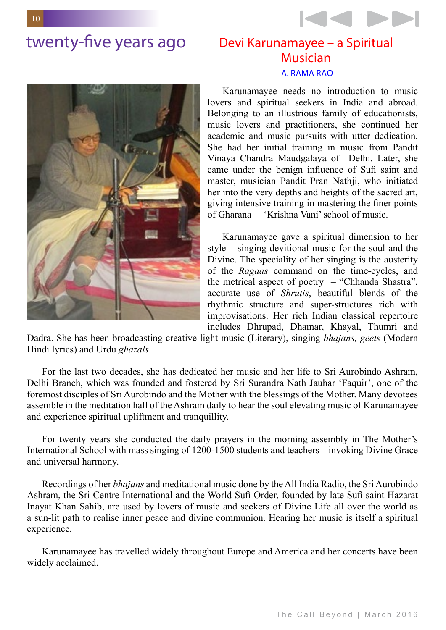



### <span id="page-9-0"></span>twenty-five years ago Devi Karunamayee – a Spiritual Musician A. RAMA RAO

Karunamayee needs no introduction to music lovers and spiritual seekers in India and abroad. Belonging to an illustrious family of educationists, music lovers and practitioners, she continued her academic and music pursuits with utter dedication. She had her initial training in music from Pandit Vinaya Chandra Maudgalaya of Delhi. Later, she came under the benign influence of Sufi saint and master, musician Pandit Pran Nathji, who initiated her into the very depths and heights of the sacred art, giving intensive training in mastering the finer points of Gharana – 'Krishna Vani' school of music.

Karunamayee gave a spiritual dimension to her style – singing devitional music for the soul and the Divine. The speciality of her singing is the austerity of the *Ragaas* command on the time-cycles, and the metrical aspect of poetry – "Chhanda Shastra", accurate use of *Shrutis*, beautiful blends of the rhythmic structure and super-structures rich with improvisations. Her rich Indian classical repertoire includes Dhrupad, Dhamar, Khayal, Thumri and

Dadra. She has been broadcasting creative light music (Literary), singing *bhajans, geets* (Modern Hindi lyrics) and Urdu *ghazals*.

For the last two decades, she has dedicated her music and her life to Sri Aurobindo Ashram, Delhi Branch, which was founded and fostered by Sri Surandra Nath Jauhar 'Faquir', one of the foremost disciples of Sri Aurobindo and the Mother with the blessings of the Mother. Many devotees assemble in the meditation hall of the Ashram daily to hear the soul elevating music of Karunamayee and experience spiritual upliftment and tranquillity.

For twenty years she conducted the daily prayers in the morning assembly in The Mother's International School with mass singing of 1200-1500 students and teachers – invoking Divine Grace and universal harmony.

Recordings of her *bhajans* and meditational music done by the All India Radio, the Sri Aurobindo Ashram, the Sri Centre International and the World Sufi Order, founded by late Sufi saint Hazarat Inayat Khan Sahib, are used by lovers of music and seekers of Divine Life all over the world as a sun-lit path to realise inner peace and divine communion. Hearing her music is itself a spiritual experience.

Karunamayee has travelled widely throughout Europe and America and her concerts have been widely acclaimed.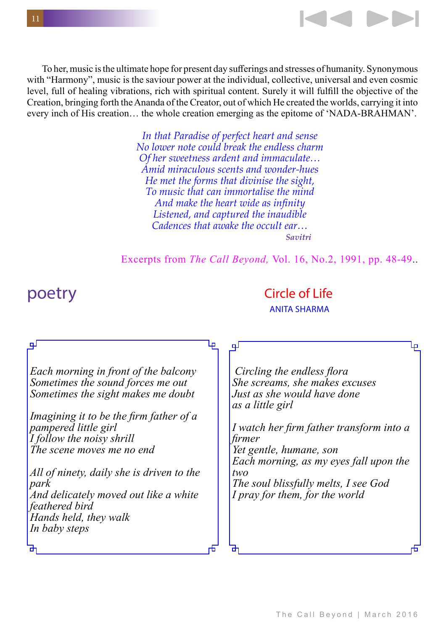

<span id="page-10-0"></span>To her, music is the ultimate hope for present day sufferings and stresses of humanity. Synonymous with "Harmony", music is the saviour power at the individual, collective, universal and even cosmic level, full of healing vibrations, rich with spiritual content. Surely it will fulfill the objective of the Creation, bringing forth the Ananda of the Creator, out of which He created the worlds, carrying it into every inch of His creation… the whole creation emerging as the epitome of 'NADA-BRAHMAN'.

> *In that Paradise of perfect heart and sense No lower note could break the endless charm Of her sweetness ardent and immaculate… Amid miraculous scents and wonder-hues He met the forms that divinise the sight, To music that can immortalise the mind And make the heart wide as infinity Listened, and captured the inaudible Cadences that awake the occult ear… Savitri*

Excerpts from *The Call Beyond,* Vol. 16, No.2, 1991, pp. 48-49..

poetry and the control of Life of Life of Life ANITA SHARMA

| ᄆ                                         | 무                                               |
|-------------------------------------------|-------------------------------------------------|
| Each morning in front of the balcony      | Circling the endless flora                      |
| Sometimes the sound forces me out         | She screams, she makes excuses                  |
| Sometimes the sight makes me doubt        | Just as she would have done<br>as a little girl |
| Imagining it to be the firm father of a   |                                                 |
| pampered little girl                      | I watch her firm father transform into a        |
| I follow the noisy shrill                 | firmer                                          |
| The scene moves me no end                 | Yet gentle, humane, son                         |
|                                           | Each morning, as my eyes fall upon the          |
| All of ninety, daily she is driven to the | two                                             |
| park                                      | The soul blissfully melts, I see God            |
| And delicately moved out like a white     | I pray for them, for the world                  |
| feathered bird                            |                                                 |
| Hands held, they walk                     |                                                 |
|                                           |                                                 |
| In baby steps                             |                                                 |
| о                                         |                                                 |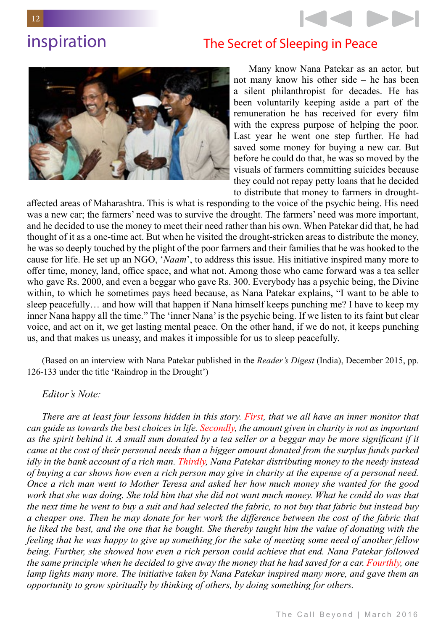

# <span id="page-11-0"></span>inspiration The Secret of Sleeping in Peace



Many know Nana Patekar as an actor, but not many know his other side – he has been a silent philanthropist for decades. He has been voluntarily keeping aside a part of the remuneration he has received for every film with the express purpose of helping the poor. Last year he went one step further. He had saved some money for buying a new car. But before he could do that, he was so moved by the visuals of farmers committing suicides because they could not repay petty loans that he decided to distribute that money to farmers in drought-

affected areas of Maharashtra. This is what is responding to the voice of the psychic being. His need was a new car; the farmers' need was to survive the drought. The farmers' need was more important, and he decided to use the money to meet their need rather than his own. When Patekar did that, he had thought of it as a one-time act. But when he visited the drought-stricken areas to distribute the money, he was so deeply touched by the plight of the poor farmers and their families that he was hooked to the cause for life. He set up an NGO, '*Naam*', to address this issue. His initiative inspired many more to offer time, money, land, office space, and what not. Among those who came forward was a tea seller who gave Rs. 2000, and even a beggar who gave Rs. 300. Everybody has a psychic being, the Divine within, to which he sometimes pays heed because, as Nana Patekar explains, "I want to be able to sleep peacefully… and how will that happen if Nana himself keeps punching me? I have to keep my inner Nana happy all the time." The 'inner Nana' is the psychic being. If we listen to its faint but clear voice, and act on it, we get lasting mental peace. On the other hand, if we do not, it keeps punching us, and that makes us uneasy, and makes it impossible for us to sleep peacefully.

(Based on an interview with Nana Patekar published in the *Reader's Digest* (India), December 2015, pp. 126-133 under the title 'Raindrop in the Drought')

#### *Editor's Note:*

*There are at least four lessons hidden in this story. First, that we all have an inner monitor that can guide us towards the best choices in life. Secondly, the amount given in charity is not as important as the spirit behind it. A small sum donated by a tea seller or a beggar may be more significant if it came at the cost of their personal needs than a bigger amount donated from the surplus funds parked idly in the bank account of a rich man. Thirdly, Nana Patekar distributing money to the needy instead of buying a car shows how even a rich person may give in charity at the expense of a personal need. Once a rich man went to Mother Teresa and asked her how much money she wanted for the good work that she was doing. She told him that she did not want much money. What he could do was that the next time he went to buy a suit and had selected the fabric, to not buy that fabric but instead buy a cheaper one. Then he may donate for her work the difference between the cost of the fabric that he liked the best, and the one that he bought. She thereby taught him the value of donating with the feeling that he was happy to give up something for the sake of meeting some need of another fellow being. Further, she showed how even a rich person could achieve that end. Nana Patekar followed the same principle when he decided to give away the money that he had saved for a car. Fourthly, one lamp lights many more. The initiative taken by Nana Patekar inspired many more, and gave them an opportunity to grow spiritually by thinking of others, by doing something for others.*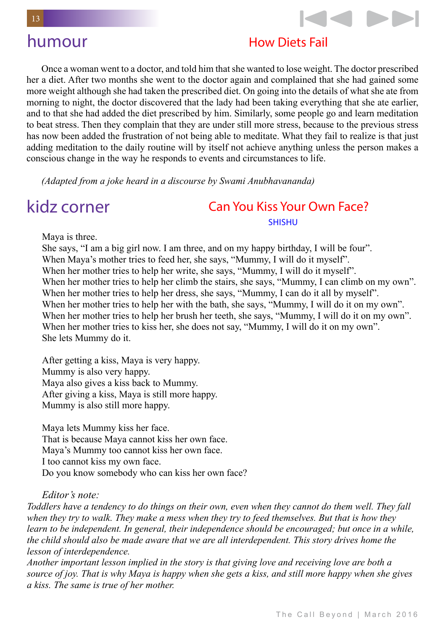# **KAD**

## <span id="page-12-0"></span>humour **How Diets Fail**

Once a woman went to a doctor, and told him that she wanted to lose weight. The doctor prescribed her a diet. After two months she went to the doctor again and complained that she had gained some more weight although she had taken the prescribed diet. On going into the details of what she ate from morning to night, the doctor discovered that the lady had been taking everything that she ate earlier, and to that she had added the diet prescribed by him. Similarly, some people go and learn meditation to beat stress. Then they complain that they are under still more stress, because to the previous stress has now been added the frustration of not being able to meditate. What they fail to realize is that just adding meditation to the daily routine will by itself not achieve anything unless the person makes a conscious change in the way he responds to events and circumstances to life.

*(Adapted from a joke heard in a discourse by Swami Anubhavananda)*

### kidz corner Can You Kiss Your Own Face? **SHISHU**

Maya is three.

She says, "I am a big girl now. I am three, and on my happy birthday, I will be four". When Maya's mother tries to feed her, she says, "Mummy, I will do it myself". When her mother tries to help her write, she says, "Mummy, I will do it myself". When her mother tries to help her climb the stairs, she says, "Mummy, I can climb on my own". When her mother tries to help her dress, she says, "Mummy, I can do it all by myself". When her mother tries to help her with the bath, she says, "Mummy, I will do it on my own". When her mother tries to help her brush her teeth, she says, "Mummy, I will do it on my own". When her mother tries to kiss her, she does not say, "Mummy, I will do it on my own". She lets Mummy do it.

After getting a kiss, Maya is very happy. Mummy is also very happy. Maya also gives a kiss back to Mummy. After giving a kiss, Maya is still more happy. Mummy is also still more happy.

Maya lets Mummy kiss her face. That is because Maya cannot kiss her own face. Maya's Mummy too cannot kiss her own face. I too cannot kiss my own face. Do you know somebody who can kiss her own face?

#### *Editor's note:*

*Toddlers have a tendency to do things on their own, even when they cannot do them well. They fall when they try to walk. They make a mess when they try to feed themselves. But that is how they learn to be independent. In general, their independence should be encouraged; but once in a while, the child should also be made aware that we are all interdependent. This story drives home the lesson of interdependence.* 

*Another important lesson implied in the story is that giving love and receiving love are both a source of joy. That is why Maya is happy when she gets a kiss, and still more happy when she gives a kiss. The same is true of her mother.*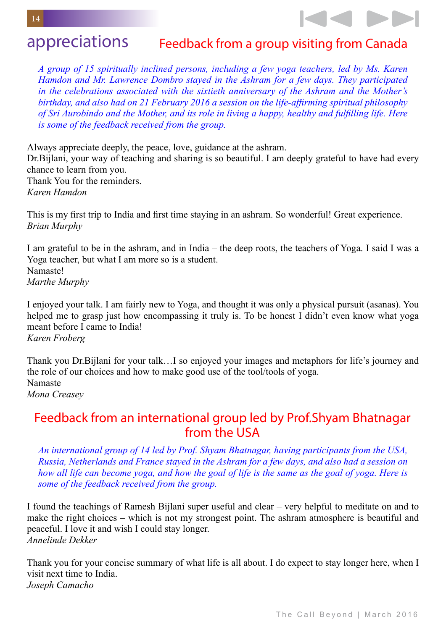

# <span id="page-13-0"></span>appreciations Feedback from a group visiting from Canada

*A group of 15 spiritually inclined persons, including a few yoga teachers, led by Ms. Karen Hamdon and Mr. Lawrence Dombro stayed in the Ashram for a few days. They participated in the celebrations associated with the sixtieth anniversary of the Ashram and the Mother's birthday, and also had on 21 February 2016 a session on the life-affirming spiritual philosophy of Sri Aurobindo and the Mother, and its role in living a happy, healthy and fulfilling life. Here is some of the feedback received from the group.*

Always appreciate deeply, the peace, love, guidance at the ashram. Dr.Bijlani, your way of teaching and sharing is so beautiful. I am deeply grateful to have had every chance to learn from you. Thank You for the reminders. *Karen Hamdon*

This is my first trip to India and first time staying in an ashram. So wonderful! Great experience. *Brian Murphy*

I am grateful to be in the ashram, and in India – the deep roots, the teachers of Yoga. I said I was a Yoga teacher, but what I am more so is a student. Namaste! *Marthe Murphy*

I enjoyed your talk. I am fairly new to Yoga, and thought it was only a physical pursuit (asanas). You helped me to grasp just how encompassing it truly is. To be honest I didn't even know what yoga meant before I came to India! *Karen Froberg*

Thank you Dr.Bijlani for your talk…I so enjoyed your images and metaphors for life's journey and the role of our choices and how to make good use of the tool/tools of yoga. Namaste *Mona Creasey*

### Feedback from an international group led by Prof.Shyam Bhatnagar from the USA

*An international group of 14 led by Prof. Shyam Bhatnagar, having participants from the USA, Russia, Netherlands and France stayed in the Ashram for a few days, and also had a session on how all life can become yoga, and how the goal of life is the same as the goal of yoga. Here is some of the feedback received from the group.*

I found the teachings of Ramesh Bijlani super useful and clear – very helpful to meditate on and to make the right choices – which is not my strongest point. The ashram atmosphere is beautiful and peaceful. I love it and wish I could stay longer. *Annelinde Dekker*

Thank you for your concise summary of what life is all about. I do expect to stay longer here, when I visit next time to India. *Joseph Camacho*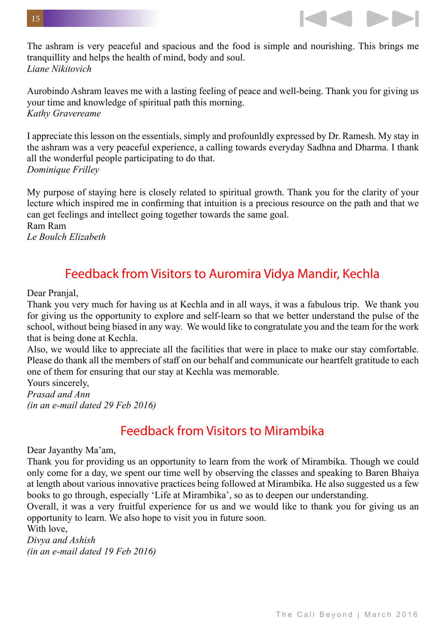

<span id="page-14-0"></span>The ashram is very peaceful and spacious and the food is simple and nourishing. This brings me tranquillity and helps the health of mind, body and soul. *Liane Nikitovich*

Aurobindo Ashram leaves me with a lasting feeling of peace and well-being. Thank you for giving us your time and knowledge of spiritual path this morning. *Kathy Gravereame*

I appreciate this lesson on the essentials, simply and profounldly expressed by Dr. Ramesh. My stay in the ashram was a very peaceful experience, a calling towards everyday Sadhna and Dharma. I thank all the wonderful people participating to do that. *Dominique Frilley*

My purpose of staying here is closely related to spiritual growth. Thank you for the clarity of your lecture which inspired me in confirming that intuition is a precious resource on the path and that we can get feelings and intellect going together towards the same goal.

Ram Ram *Le Boulch Elizabeth*

## Feedback from Visitors to Auromira Vidya Mandir, Kechla

Dear Pranjal,

Thank you very much for having us at Kechla and in all ways, it was a fabulous trip. We thank you for giving us the opportunity to explore and self-learn so that we better understand the pulse of the school, without being biased in any way. We would like to congratulate you and the team for the work that is being done at Kechla.

Also, we would like to appreciate all the facilities that were in place to make our stay comfortable. Please do thank all the members of staff on our behalf and communicate our heartfelt gratitude to each one of them for ensuring that our stay at Kechla was memorable.

Yours sincerely, *Prasad and Ann (in an e-mail dated 29 Feb 2016)*

## Feedback from Visitors to Mirambika

Dear Jayanthy Ma'am,

Thank you for providing us an opportunity to learn from the work of Mirambika. Though we could only come for a day, we spent our time well by observing the classes and speaking to Baren Bhaiya at length about various innovative practices being followed at Mirambika. He also suggested us a few books to go through, especially 'Life at Mirambika', so as to deepen our understanding.

Overall, it was a very fruitful experience for us and we would like to thank you for giving us an opportunity to learn. We also hope to visit you in future soon.

With love, *Divya and Ashish (in an e-mail dated 19 Feb 2016)*